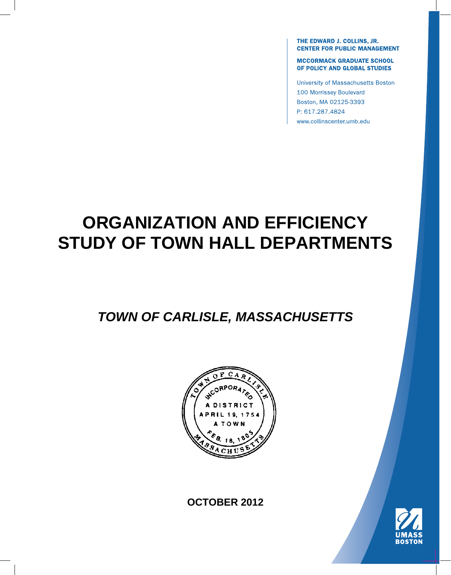THE EDWARD J. COLLINS, JR. **CENTER FOR PUBLIC MANAGEMENT** 

**MCCORMACK GRADUATE SCHOOL** OF POLICY AND GLOBAL STUDIES

**University of Massachusetts Boston** 100 Morrissey Boulevard Boston, MA 02125-3393 P: 617.287.4824 www.collinscenter.umb.edu

# **ORGANIZATION AND EFFICIENCY STUDY OF TOWN HALL DEPARTMENTS**

## *TOWN OF CARLISLE, MASSACHUSETTS*



**OCTOBER 2012** 

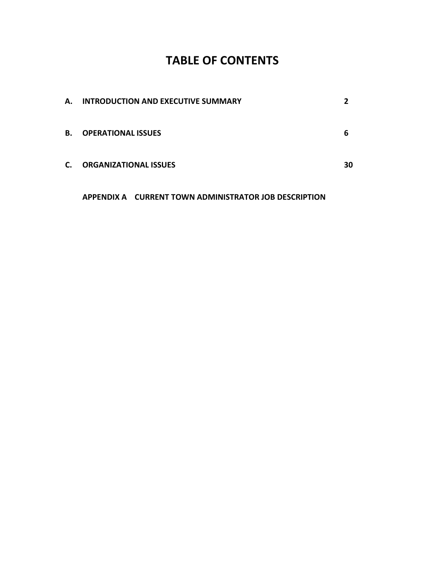## **TABLE OF CONTENTS**

| А. | <b>INTRODUCTION AND EXECUTIVE SUMMARY</b> |    |
|----|-------------------------------------------|----|
| В. | <b>OPERATIONAL ISSUES</b>                 | 6  |
| C. | <b>ORGANIZATIONAL ISSUES</b>              | 30 |

**APPENDIX A CURRENT TOWN ADMINISTRATOR JOB DESCRIPTION**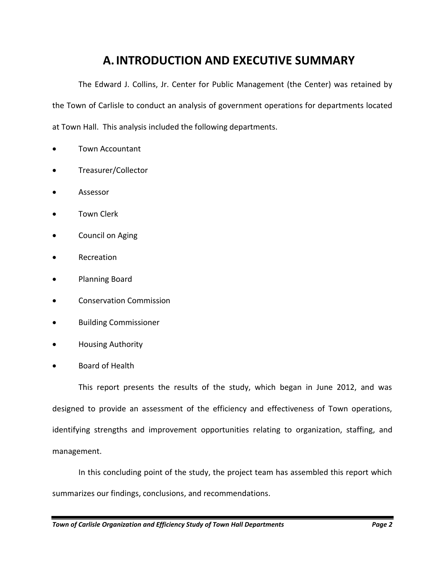### **A.INTRODUCTION AND EXECUTIVE SUMMARY**

The Edward J. Collins, Jr. Center for Public Management (the Center) was retained by the Town of Carlisle to conduct an analysis of government operations for departments located at Town Hall. This analysis included the following departments.

- Town Accountant
- Treasurer/Collector
- Assessor
- Town Clerk
- Council on Aging
- Recreation
- Planning Board
- Conservation Commission
- Building Commissioner
- **•** Housing Authority
- Board of Health

This report presents the results of the study, which began in June 2012, and was designed to provide an assessment of the efficiency and effectiveness of Town operations, identifying strengths and improvement opportunities relating to organization, staffing, and management.

In this concluding point of the study, the project team has assembled this report which summarizes our findings, conclusions, and recommendations.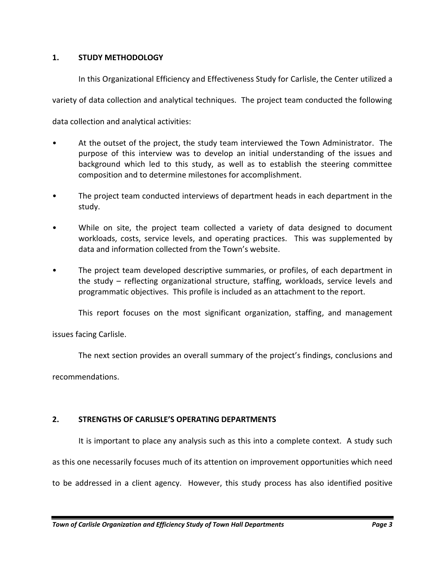#### **1. STUDY METHODOLOGY**

In this Organizational Efficiency and Effectiveness Study for Carlisle, the Center utilized a

variety of data collection and analytical techniques. The project team conducted the following

data collection and analytical activities:

- At the outset of the project, the study team interviewed the Town Administrator. The purpose of this interview was to develop an initial understanding of the issues and background which led to this study, as well as to establish the steering committee composition and to determine milestones for accomplishment.
- The project team conducted interviews of department heads in each department in the study.
- While on site, the project team collected a variety of data designed to document workloads, costs, service levels, and operating practices. This was supplemented by data and information collected from the Town's website.
- The project team developed descriptive summaries, or profiles, of each department in the study – reflecting organizational structure, staffing, workloads, service levels and programmatic objectives. This profile is included as an attachment to the report.

This report focuses on the most significant organization, staffing, and management

issues facing Carlisle.

The next section provides an overall summary of the project's findings, conclusions and

recommendations.

#### **2. STRENGTHS OF CARLISLE'S OPERATING DEPARTMENTS**

It is important to place any analysis such as this into a complete context. A study such as this one necessarily focuses much of its attention on improvement opportunities which need to be addressed in a client agency. However, this study process has also identified positive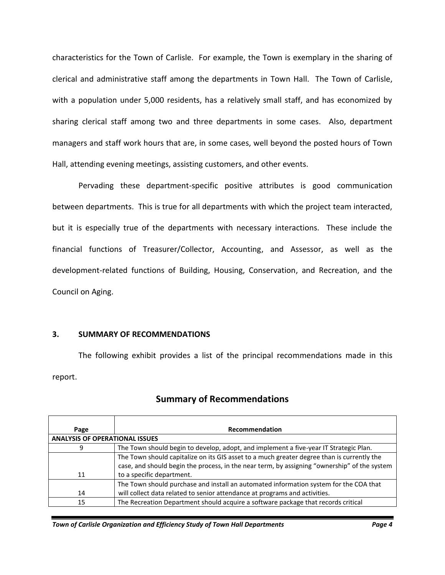characteristics for the Town of Carlisle. For example, the Town is exemplary in the sharing of clerical and administrative staff among the departments in Town Hall. The Town of Carlisle, with a population under 5,000 residents, has a relatively small staff, and has economized by sharing clerical staff among two and three departments in some cases. Also, department managers and staff work hours that are, in some cases, well beyond the posted hours of Town Hall, attending evening meetings, assisting customers, and other events.

Pervading these department-specific positive attributes is good communication between departments. This is true for all departments with which the project team interacted, but it is especially true of the departments with necessary interactions. These include the financial functions of Treasurer/Collector, Accounting, and Assessor, as well as the development-related functions of Building, Housing, Conservation, and Recreation, and the Council on Aging.

#### **3. SUMMARY OF RECOMMENDATIONS**

The following exhibit provides a list of the principal recommendations made in this report.

| Page<br><b>ANALYSIS OF OPERATIONAL ISSUES</b> | Recommendation                                                                                                                                                                                                          |
|-----------------------------------------------|-------------------------------------------------------------------------------------------------------------------------------------------------------------------------------------------------------------------------|
|                                               |                                                                                                                                                                                                                         |
| 9                                             | The Town should begin to develop, adopt, and implement a five-year IT Strategic Plan.                                                                                                                                   |
| 11                                            | The Town should capitalize on its GIS asset to a much greater degree than is currently the<br>case, and should begin the process, in the near term, by assigning "ownership" of the system<br>to a specific department. |
|                                               | The Town should purchase and install an automated information system for the COA that                                                                                                                                   |
| 14                                            | will collect data related to senior attendance at programs and activities.                                                                                                                                              |
| 15                                            | The Recreation Department should acquire a software package that records critical                                                                                                                                       |

#### **Summary of Recommendations**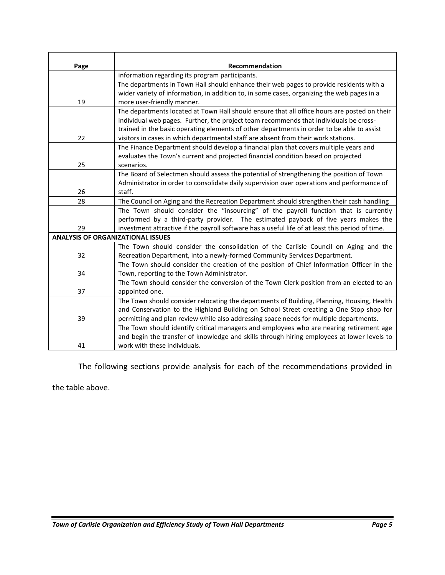| Page                                                                                         | Recommendation                                                                                   |  |  |
|----------------------------------------------------------------------------------------------|--------------------------------------------------------------------------------------------------|--|--|
|                                                                                              | information regarding its program participants.                                                  |  |  |
|                                                                                              | The departments in Town Hall should enhance their web pages to provide residents with a          |  |  |
|                                                                                              | wider variety of information, in addition to, in some cases, organizing the web pages in a       |  |  |
| 19                                                                                           | more user-friendly manner.                                                                       |  |  |
|                                                                                              | The departments located at Town Hall should ensure that all office hours are posted on their     |  |  |
|                                                                                              | individual web pages. Further, the project team recommends that individuals be cross-            |  |  |
|                                                                                              | trained in the basic operating elements of other departments in order to be able to assist       |  |  |
| 22                                                                                           | visitors in cases in which departmental staff are absent from their work stations.               |  |  |
|                                                                                              | The Finance Department should develop a financial plan that covers multiple years and            |  |  |
|                                                                                              | evaluates the Town's current and projected financial condition based on projected                |  |  |
| 25                                                                                           | scenarios.                                                                                       |  |  |
|                                                                                              | The Board of Selectmen should assess the potential of strengthening the position of Town         |  |  |
|                                                                                              | Administrator in order to consolidate daily supervision over operations and performance of       |  |  |
| 26                                                                                           | staff.                                                                                           |  |  |
| 28                                                                                           | The Council on Aging and the Recreation Department should strengthen their cash handling         |  |  |
|                                                                                              | The Town should consider the "insourcing" of the payroll function that is currently              |  |  |
|                                                                                              | performed by a third-party provider. The estimated payback of five years makes the               |  |  |
| 29                                                                                           | investment attractive if the payroll software has a useful life of at least this period of time. |  |  |
| <b>ANALYSIS OF ORGANIZATIONAL ISSUES</b>                                                     |                                                                                                  |  |  |
|                                                                                              | The Town should consider the consolidation of the Carlisle Council on Aging and the              |  |  |
| 32                                                                                           | Recreation Department, into a newly-formed Community Services Department.                        |  |  |
| The Town should consider the creation of the position of Chief Information Officer in the    |                                                                                                  |  |  |
| 34                                                                                           | Town, reporting to the Town Administrator.                                                       |  |  |
|                                                                                              | The Town should consider the conversion of the Town Clerk position from an elected to an         |  |  |
| 37                                                                                           | appointed one.                                                                                   |  |  |
|                                                                                              | The Town should consider relocating the departments of Building, Planning, Housing, Health       |  |  |
|                                                                                              | and Conservation to the Highland Building on School Street creating a One Stop shop for          |  |  |
| 39<br>permitting and plan review while also addressing space needs for multiple departments. |                                                                                                  |  |  |
|                                                                                              | The Town should identify critical managers and employees who are nearing retirement age          |  |  |
|                                                                                              | and begin the transfer of knowledge and skills through hiring employees at lower levels to       |  |  |
| 41                                                                                           | work with these individuals.                                                                     |  |  |

The following sections provide analysis for each of the recommendations provided in

the table above.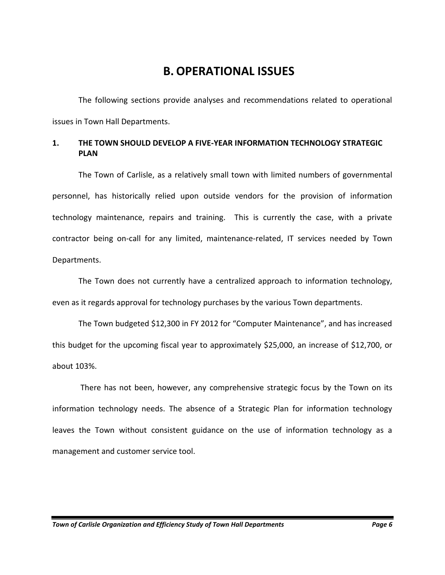### **B. OPERATIONAL ISSUES**

The following sections provide analyses and recommendations related to operational issues in Town Hall Departments.

#### **1. THE TOWN SHOULD DEVELOP A FIVE-YEAR INFORMATION TECHNOLOGY STRATEGIC PLAN**

The Town of Carlisle, as a relatively small town with limited numbers of governmental personnel, has historically relied upon outside vendors for the provision of information technology maintenance, repairs and training. This is currently the case, with a private contractor being on-call for any limited, maintenance-related, IT services needed by Town Departments.

The Town does not currently have a centralized approach to information technology, even as it regards approval for technology purchases by the various Town departments.

The Town budgeted \$12,300 in FY 2012 for "Computer Maintenance", and has increased this budget for the upcoming fiscal year to approximately \$25,000, an increase of \$12,700, or about 103%.

There has not been, however, any comprehensive strategic focus by the Town on its information technology needs. The absence of a Strategic Plan for information technology leaves the Town without consistent guidance on the use of information technology as a management and customer service tool.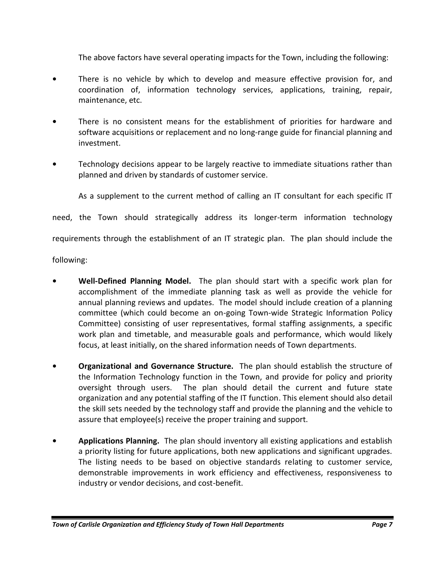The above factors have several operating impacts for the Town, including the following:

- **•** There is no vehicle by which to develop and measure effective provision for, and coordination of, information technology services, applications, training, repair, maintenance, etc.
- **•** There is no consistent means for the establishment of priorities for hardware and software acquisitions or replacement and no long-range guide for financial planning and investment.
- **•** Technology decisions appear to be largely reactive to immediate situations rather than planned and driven by standards of customer service.

As a supplement to the current method of calling an IT consultant for each specific IT

need, the Town should strategically address its longer-term information technology

requirements through the establishment of an IT strategic plan. The plan should include the

following:

- **• Well-Defined Planning Model.** The plan should start with a specific work plan for accomplishment of the immediate planning task as well as provide the vehicle for annual planning reviews and updates. The model should include creation of a planning committee (which could become an on-going Town-wide Strategic Information Policy Committee) consisting of user representatives, formal staffing assignments, a specific work plan and timetable, and measurable goals and performance, which would likely focus, at least initially, on the shared information needs of Town departments.
- **• Organizational and Governance Structure.** The plan should establish the structure of the Information Technology function in the Town, and provide for policy and priority oversight through users. The plan should detail the current and future state organization and any potential staffing of the IT function. This element should also detail the skill sets needed by the technology staff and provide the planning and the vehicle to assure that employee(s) receive the proper training and support.
- **• Applications Planning.** The plan should inventory all existing applications and establish a priority listing for future applications, both new applications and significant upgrades. The listing needs to be based on objective standards relating to customer service, demonstrable improvements in work efficiency and effectiveness, responsiveness to industry or vendor decisions, and cost-benefit.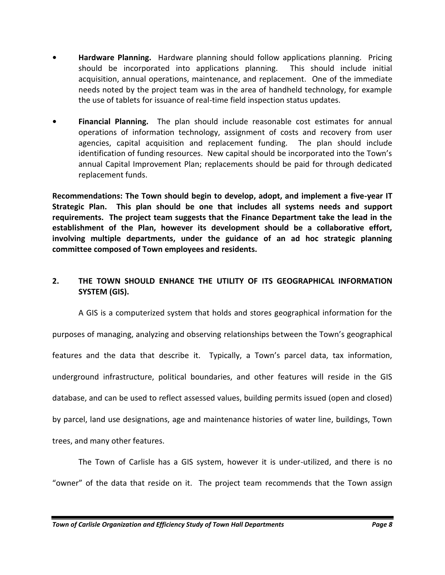- **• Hardware Planning.** Hardware planning should follow applications planning. Pricing should be incorporated into applications planning. This should include initial acquisition, annual operations, maintenance, and replacement. One of the immediate needs noted by the project team was in the area of handheld technology, for example the use of tablets for issuance of real-time field inspection status updates.
- **• Financial Planning.** The plan should include reasonable cost estimates for annual operations of information technology, assignment of costs and recovery from user agencies, capital acquisition and replacement funding. The plan should include identification of funding resources. New capital should be incorporated into the Town's annual Capital Improvement Plan; replacements should be paid for through dedicated replacement funds.

**Recommendations: The Town should begin to develop, adopt, and implement a five-year IT Strategic Plan. This plan should be one that includes all systems needs and support requirements. The project team suggests that the Finance Department take the lead in the establishment of the Plan, however its development should be a collaborative effort, involving multiple departments, under the guidance of an ad hoc strategic planning committee composed of Town employees and residents.**

#### **2. THE TOWN SHOULD ENHANCE THE UTILITY OF ITS GEOGRAPHICAL INFORMATION SYSTEM (GIS).**

A GIS is a computerized system that holds and stores geographical information for the purposes of managing, analyzing and observing relationships between the Town's geographical features and the data that describe it. Typically, a Town's parcel data, tax information, underground infrastructure, political boundaries, and other features will reside in the GIS database, and can be used to reflect assessed values, building permits issued (open and closed) by parcel, land use designations, age and maintenance histories of water line, buildings, Town trees, and many other features.

The Town of Carlisle has a GIS system, however it is under-utilized, and there is no "owner" of the data that reside on it. The project team recommends that the Town assign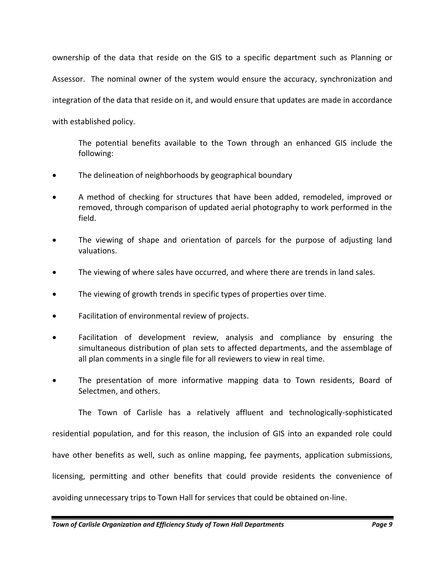ownership of the data that reside on the GIS to a specific department such as Planning or Assessor. The nominal owner of the system would ensure the accuracy, synchronization and integration of the data that reside on it, and would ensure that updates are made in accordance with established policy.

The potential benefits available to the Town through an enhanced GIS include the following:

- The delineation of neighborhoods by geographical boundary
- A method of checking for structures that have been added, remodeled, improved or removed, through comparison of updated aerial photography to work performed in the field.
- The viewing of shape and orientation of parcels for the purpose of adjusting land valuations.
- The viewing of where sales have occurred, and where there are trends in land sales.
- The viewing of growth trends in specific types of properties over time.
- Facilitation of environmental review of projects.
- Facilitation of development review, analysis and compliance by ensuring the simultaneous distribution of plan sets to affected departments, and the assemblage of all plan comments in a single file for all reviewers to view in real time.
- The presentation of more informative mapping data to Town residents, Board of Selectmen, and others.

The Town of Carlisle has a relatively affluent and technologically-sophisticated residential population, and for this reason, the inclusion of GIS into an expanded role could have other benefits as well, such as online mapping, fee payments, application submissions, licensing, permitting and other benefits that could provide residents the convenience of avoiding unnecessary trips to Town Hall for services that could be obtained on-line.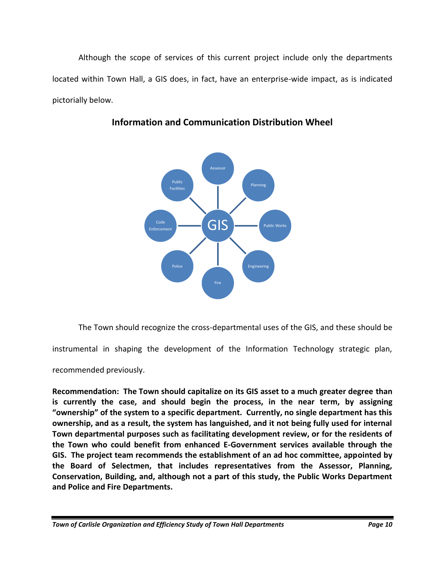Although the scope of services of this current project include only the departments located within Town Hall, a GIS does, in fact, have an enterprise-wide impact, as is indicated pictorially below.



**Information and Communication Distribution Wheel**

The Town should recognize the cross-departmental uses of the GIS, and these should be

instrumental in shaping the development of the Information Technology strategic plan,

recommended previously.

**Recommendation: The Town should capitalize on its GIS asset to a much greater degree than is currently the case, and should begin the process, in the near term, by assigning "ownership" of the system to a specific department. Currently, no single department has this ownership, and as a result, the system has languished, and it not being fully used for internal Town departmental purposes such as facilitating development review, or for the residents of the Town who could benefit from enhanced E-Government services available through the GIS. The project team recommends the establishment of an ad hoc committee, appointed by the Board of Selectmen, that includes representatives from the Assessor, Planning, Conservation, Building, and, although not a part of this study, the Public Works Department and Police and Fire Departments.**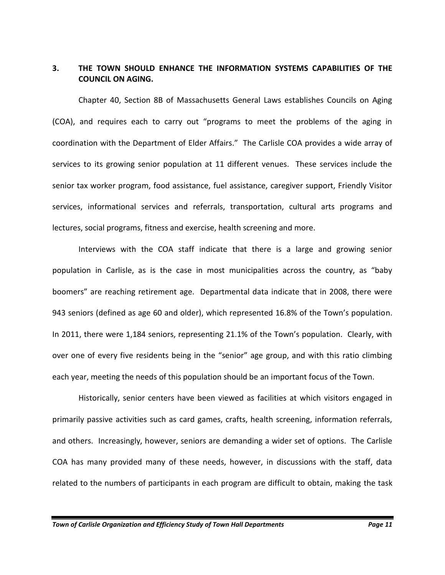#### **3. THE TOWN SHOULD ENHANCE THE INFORMATION SYSTEMS CAPABILITIES OF THE COUNCIL ON AGING.**

Chapter 40, Section 8B of Massachusetts General Laws establishes Councils on Aging (COA), and requires each to carry out "programs to meet the problems of the aging in coordination with the Department of Elder Affairs." The Carlisle COA provides a wide array of services to its growing senior population at 11 different venues. These services include the senior tax worker program, food assistance, fuel assistance, caregiver support, Friendly Visitor services, informational services and referrals, transportation, cultural arts programs and lectures, social programs, fitness and exercise, health screening and more.

Interviews with the COA staff indicate that there is a large and growing senior population in Carlisle, as is the case in most municipalities across the country, as "baby boomers" are reaching retirement age. Departmental data indicate that in 2008, there were 943 seniors (defined as age 60 and older), which represented 16.8% of the Town's population. In 2011, there were 1,184 seniors, representing 21.1% of the Town's population. Clearly, with over one of every five residents being in the "senior" age group, and with this ratio climbing each year, meeting the needs of this population should be an important focus of the Town.

Historically, senior centers have been viewed as facilities at which visitors engaged in primarily passive activities such as card games, crafts, health screening, information referrals, and others. Increasingly, however, seniors are demanding a wider set of options. The Carlisle COA has many provided many of these needs, however, in discussions with the staff, data related to the numbers of participants in each program are difficult to obtain, making the task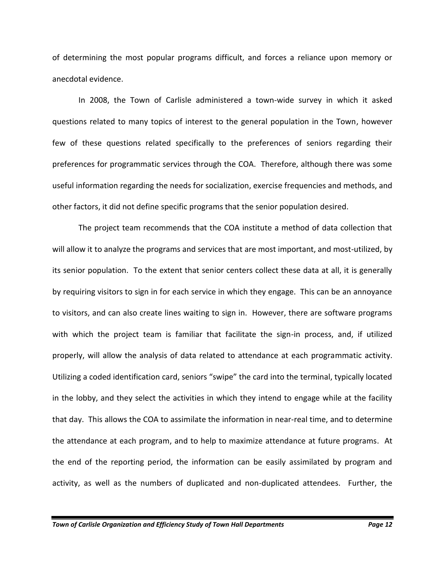of determining the most popular programs difficult, and forces a reliance upon memory or anecdotal evidence.

In 2008, the Town of Carlisle administered a town-wide survey in which it asked questions related to many topics of interest to the general population in the Town, however few of these questions related specifically to the preferences of seniors regarding their preferences for programmatic services through the COA. Therefore, although there was some useful information regarding the needs for socialization, exercise frequencies and methods, and other factors, it did not define specific programs that the senior population desired.

The project team recommends that the COA institute a method of data collection that will allow it to analyze the programs and services that are most important, and most-utilized, by its senior population. To the extent that senior centers collect these data at all, it is generally by requiring visitors to sign in for each service in which they engage. This can be an annoyance to visitors, and can also create lines waiting to sign in. However, there are software programs with which the project team is familiar that facilitate the sign-in process, and, if utilized properly, will allow the analysis of data related to attendance at each programmatic activity. Utilizing a coded identification card, seniors "swipe" the card into the terminal, typically located in the lobby, and they select the activities in which they intend to engage while at the facility that day. This allows the COA to assimilate the information in near-real time, and to determine the attendance at each program, and to help to maximize attendance at future programs. At the end of the reporting period, the information can be easily assimilated by program and activity, as well as the numbers of duplicated and non-duplicated attendees. Further, the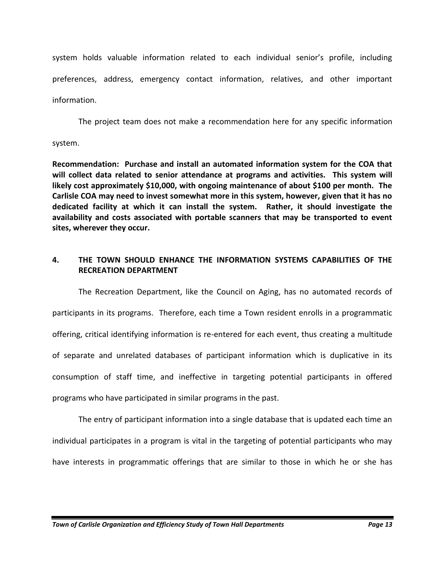system holds valuable information related to each individual senior's profile, including preferences, address, emergency contact information, relatives, and other important information.

The project team does not make a recommendation here for any specific information

#### system.

**Recommendation: Purchase and install an automated information system for the COA that will collect data related to senior attendance at programs and activities. This system will likely cost approximately \$10,000, with ongoing maintenance of about \$100 per month. The Carlisle COA may need to invest somewhat more in this system, however, given that it has no dedicated facility at which it can install the system. Rather, it should investigate the availability and costs associated with portable scanners that may be transported to event sites, wherever they occur.**

#### **4. THE TOWN SHOULD ENHANCE THE INFORMATION SYSTEMS CAPABILITIES OF THE RECREATION DEPARTMENT**

The Recreation Department, like the Council on Aging, has no automated records of participants in its programs. Therefore, each time a Town resident enrolls in a programmatic offering, critical identifying information is re-entered for each event, thus creating a multitude of separate and unrelated databases of participant information which is duplicative in its consumption of staff time, and ineffective in targeting potential participants in offered programs who have participated in similar programs in the past.

The entry of participant information into a single database that is updated each time an individual participates in a program is vital in the targeting of potential participants who may have interests in programmatic offerings that are similar to those in which he or she has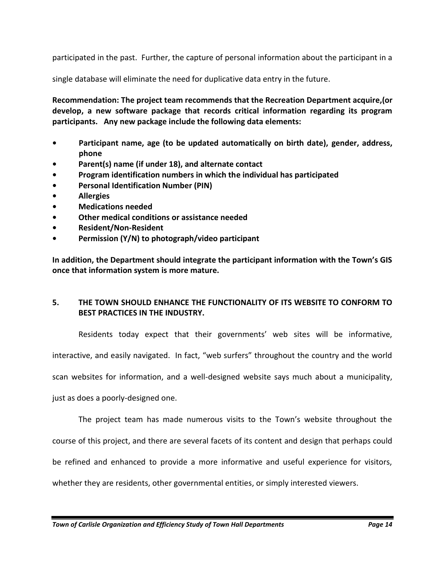participated in the past. Further, the capture of personal information about the participant in a

single database will eliminate the need for duplicative data entry in the future.

**Recommendation: The project team recommends that the Recreation Department acquire,(or develop, a new software package that records critical information regarding its program participants. Any new package include the following data elements:**

- **• Participant name, age (to be updated automatically on birth date), gender, address, phone**
- **• Parent(s) name (if under 18), and alternate contact**
- **• Program identification numbers in which the individual has participated**
- **• Personal Identification Number (PIN)**
- **• Allergies**
- **• Medications needed**
- **• Other medical conditions or assistance needed**
- **• Resident/Non-Resident**
- **• Permission (Y/N) to photograph/video participant**

**In addition, the Department should integrate the participant information with the Town's GIS once that information system is more mature.**

#### **5. THE TOWN SHOULD ENHANCE THE FUNCTIONALITY OF ITS WEBSITE TO CONFORM TO BEST PRACTICES IN THE INDUSTRY.**

Residents today expect that their governments' web sites will be informative,

interactive, and easily navigated. In fact, "web surfers" throughout the country and the world

scan websites for information, and a well-designed website says much about a municipality,

just as does a poorly-designed one.

The project team has made numerous visits to the Town's website throughout the course of this project, and there are several facets of its content and design that perhaps could be refined and enhanced to provide a more informative and useful experience for visitors, whether they are residents, other governmental entities, or simply interested viewers.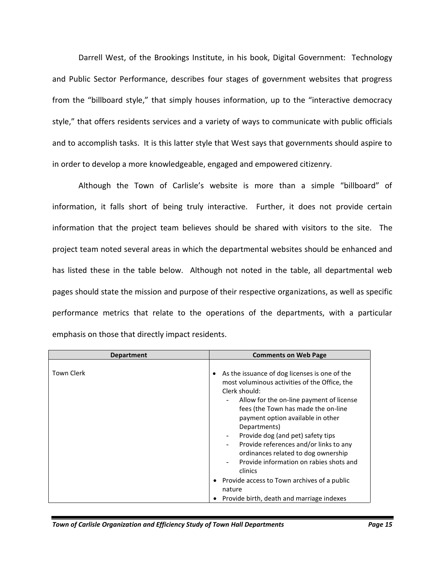Darrell West, of the Brookings Institute, in his book, Digital Government: Technology and Public Sector Performance, describes four stages of government websites that progress from the "billboard style," that simply houses information, up to the "interactive democracy style," that offers residents services and a variety of ways to communicate with public officials and to accomplish tasks. It is this latter style that West says that governments should aspire to in order to develop a more knowledgeable, engaged and empowered citizenry.

Although the Town of Carlisle's website is more than a simple "billboard" of information, it falls short of being truly interactive. Further, it does not provide certain information that the project team believes should be shared with visitors to the site. The project team noted several areas in which the departmental websites should be enhanced and has listed these in the table below. Although not noted in the table, all departmental web pages should state the mission and purpose of their respective organizations, as well as specific performance metrics that relate to the operations of the departments, with a particular emphasis on those that directly impact residents.

| <b>Town Clerk</b><br>$\bullet$<br>Clerk should:<br>Departments)<br>$\overline{\phantom{a}}$<br>$\blacksquare$<br>clinics<br>nature | As the issuance of dog licenses is one of the<br>most voluminous activities of the Office, the<br>Allow for the on-line payment of license<br>fees (the Town has made the on-line<br>payment option available in other<br>Provide dog (and pet) safety tips<br>Provide references and/or links to any<br>ordinances related to dog ownership<br>Provide information on rabies shots and<br>Provide access to Town archives of a public<br>Provide birth, death and marriage indexes |
|------------------------------------------------------------------------------------------------------------------------------------|-------------------------------------------------------------------------------------------------------------------------------------------------------------------------------------------------------------------------------------------------------------------------------------------------------------------------------------------------------------------------------------------------------------------------------------------------------------------------------------|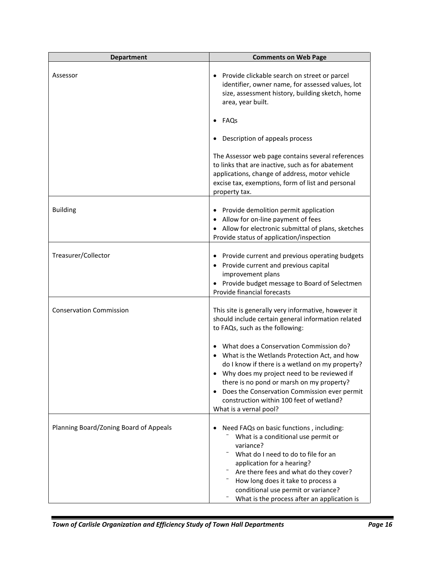| <b>Department</b>                      | <b>Comments on Web Page</b>                                                                                                                                                                                                                                                                                                                                              |
|----------------------------------------|--------------------------------------------------------------------------------------------------------------------------------------------------------------------------------------------------------------------------------------------------------------------------------------------------------------------------------------------------------------------------|
| Assessor                               | • Provide clickable search on street or parcel<br>identifier, owner name, for assessed values, lot<br>size, assessment history, building sketch, home<br>area, year built.                                                                                                                                                                                               |
|                                        | FAQs                                                                                                                                                                                                                                                                                                                                                                     |
|                                        | Description of appeals process                                                                                                                                                                                                                                                                                                                                           |
|                                        | The Assessor web page contains several references<br>to links that are inactive, such as for abatement<br>applications, change of address, motor vehicle<br>excise tax, exemptions, form of list and personal<br>property tax.                                                                                                                                           |
| <b>Building</b>                        | • Provide demolition permit application<br>Allow for on-line payment of fees<br>Allow for electronic submittal of plans, sketches<br>Provide status of application/inspection                                                                                                                                                                                            |
| Treasurer/Collector                    | Provide current and previous operating budgets<br>Provide current and previous capital<br>improvement plans<br>Provide budget message to Board of Selectmen<br>Provide financial forecasts                                                                                                                                                                               |
| <b>Conservation Commission</b>         | This site is generally very informative, however it<br>should include certain general information related<br>to FAQs, such as the following:                                                                                                                                                                                                                             |
|                                        | What does a Conservation Commission do?<br>What is the Wetlands Protection Act, and how<br>do I know if there is a wetland on my property?<br>Why does my project need to be reviewed if<br>there is no pond or marsh on my property?<br>Does the Conservation Commission ever permit<br>$\bullet$<br>construction within 100 feet of wetland?<br>What is a vernal pool? |
| Planning Board/Zoning Board of Appeals | Need FAQs on basic functions, including:<br>$\bullet$<br>What is a conditional use permit or<br>variance?<br>What do I need to do to file for an<br>application for a hearing?<br>Are there fees and what do they cover?<br>How long does it take to process a<br>conditional use permit or variance?<br>What is the process after an application is                     |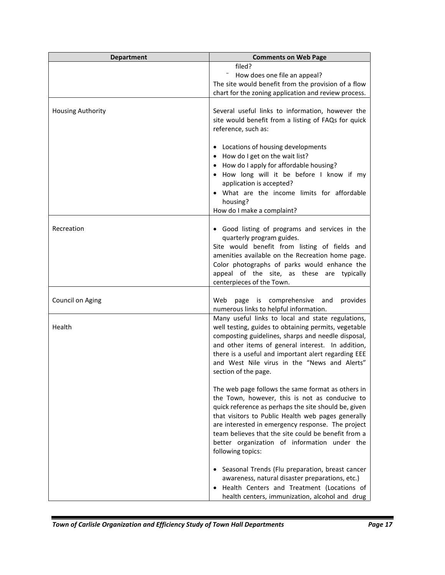| <b>Department</b>        | <b>Comments on Web Page</b>                                                                                                                                                                                                                                                                                                                                                                        |
|--------------------------|----------------------------------------------------------------------------------------------------------------------------------------------------------------------------------------------------------------------------------------------------------------------------------------------------------------------------------------------------------------------------------------------------|
|                          | filed?<br>How does one file an appeal?<br>The site would benefit from the provision of a flow<br>chart for the zoning application and review process.                                                                                                                                                                                                                                              |
| <b>Housing Authority</b> | Several useful links to information, however the<br>site would benefit from a listing of FAQs for quick<br>reference, such as:                                                                                                                                                                                                                                                                     |
|                          | Locations of housing developments<br>How do I get on the wait list?<br>How do I apply for affordable housing?<br>How long will it be before I know if my<br>application is accepted?<br>What are the income limits for affordable<br>housing?<br>How do I make a complaint?                                                                                                                        |
| Recreation               | • Good listing of programs and services in the<br>quarterly program guides.<br>Site would benefit from listing of fields and<br>amenities available on the Recreation home page.<br>Color photographs of parks would enhance the<br>appeal of the site, as these are typically<br>centerpieces of the Town.                                                                                        |
| Council on Aging         | is comprehensive<br>provides<br>Web<br>page<br>and<br>numerous links to helpful information.                                                                                                                                                                                                                                                                                                       |
| Health                   | Many useful links to local and state regulations,<br>well testing, guides to obtaining permits, vegetable<br>composting guidelines, sharps and needle disposal,<br>and other items of general interest. In addition,<br>there is a useful and important alert regarding EEE<br>and West Nile virus in the "News and Alerts"<br>section of the page.                                                |
|                          | The web page follows the same format as others in<br>the Town, however, this is not as conducive to<br>quick reference as perhaps the site should be, given<br>that visitors to Public Health web pages generally<br>are interested in emergency response. The project<br>team believes that the site could be benefit from a<br>better organization of information under the<br>following topics: |
|                          | Seasonal Trends (Flu preparation, breast cancer<br>awareness, natural disaster preparations, etc.)<br>Health Centers and Treatment (Locations of<br>$\bullet$<br>health centers, immunization, alcohol and drug                                                                                                                                                                                    |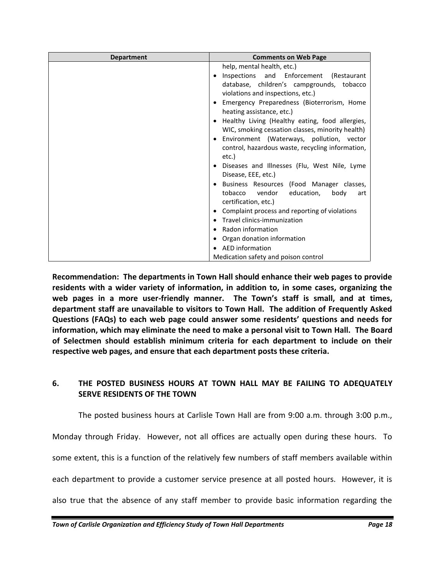| <b>Department</b> | <b>Comments on Web Page</b>                          |
|-------------------|------------------------------------------------------|
|                   | help, mental health, etc.)                           |
|                   | Inspections and Enforcement (Restaurant<br>$\bullet$ |
|                   | database, children's campgrounds, tobacco            |
|                   | violations and inspections, etc.)                    |
|                   | Emergency Preparedness (Bioterrorism, Home           |
|                   | heating assistance, etc.)                            |
|                   | Healthy Living (Healthy eating, food allergies,      |
|                   | WIC, smoking cessation classes, minority health)     |
|                   | Environment (Waterways, pollution, vector            |
|                   | control, hazardous waste, recycling information,     |
|                   | etc.)                                                |
|                   | Diseases and Illnesses (Flu, West Nile, Lyme         |
|                   | Disease, EEE, etc.)                                  |
|                   | Business Resources (Food Manager classes,            |
|                   | education,<br>tobacco vendor<br>body<br>art          |
|                   | certification, etc.)                                 |
|                   | Complaint process and reporting of violations        |
|                   | Travel clinics-immunization                          |
|                   | Radon information                                    |
|                   | Organ donation information                           |
|                   | AED information                                      |
|                   | Medication safety and poison control                 |

**Recommendation: The departments in Town Hall should enhance their web pages to provide residents with a wider variety of information, in addition to, in some cases, organizing the web pages in a more user-friendly manner. The Town's staff is small, and at times, department staff are unavailable to visitors to Town Hall. The addition of Frequently Asked Questions (FAQs) to each web page could answer some residents' questions and needs for information, which may eliminate the need to make a personal visit to Town Hall. The Board of Selectmen should establish minimum criteria for each department to include on their respective web pages, and ensure that each department posts these criteria.**

#### **6. THE POSTED BUSINESS HOURS AT TOWN HALL MAY BE FAILING TO ADEQUATELY SERVE RESIDENTS OF THE TOWN**

The posted business hours at Carlisle Town Hall are from 9:00 a.m. through 3:00 p.m.,

Monday through Friday. However, not all offices are actually open during these hours. To

some extent, this is a function of the relatively few numbers of staff members available within

each department to provide a customer service presence at all posted hours. However, it is

also true that the absence of any staff member to provide basic information regarding the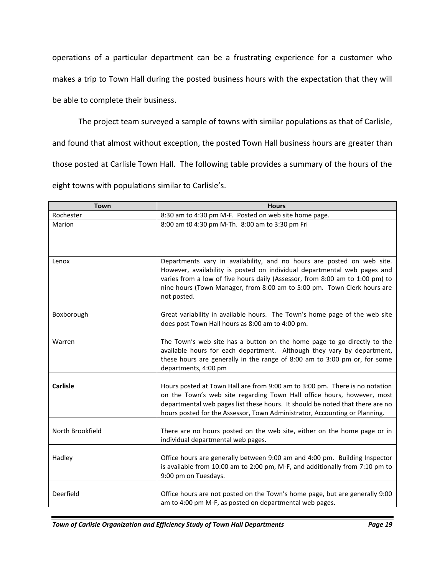operations of a particular department can be a frustrating experience for a customer who makes a trip to Town Hall during the posted business hours with the expectation that they will be able to complete their business.

The project team surveyed a sample of towns with similar populations as that of Carlisle, and found that almost without exception, the posted Town Hall business hours are greater than those posted at Carlisle Town Hall. The following table provides a summary of the hours of the eight towns with populations similar to Carlisle's.

| <b>Town</b>      | <b>Hours</b>                                                                                                                                                                                                                                                                                                                 |  |  |
|------------------|------------------------------------------------------------------------------------------------------------------------------------------------------------------------------------------------------------------------------------------------------------------------------------------------------------------------------|--|--|
| Rochester        | 8:30 am to 4:30 pm M-F. Posted on web site home page.                                                                                                                                                                                                                                                                        |  |  |
| Marion           | 8:00 am t0 4:30 pm M-Th. 8:00 am to 3:30 pm Fri                                                                                                                                                                                                                                                                              |  |  |
| Lenox            | Departments vary in availability, and no hours are posted on web site.<br>However, availability is posted on individual departmental web pages and<br>varies from a low of five hours daily (Assessor, from 8:00 am to 1:00 pm) to<br>nine hours (Town Manager, from 8:00 am to 5:00 pm. Town Clerk hours are<br>not posted. |  |  |
| Boxborough       | Great variability in available hours. The Town's home page of the web site<br>does post Town Hall hours as 8:00 am to 4:00 pm.                                                                                                                                                                                               |  |  |
| Warren           | The Town's web site has a button on the home page to go directly to the<br>available hours for each department. Although they vary by department,<br>these hours are generally in the range of 8:00 am to 3:00 pm or, for some<br>departments, 4:00 pm                                                                       |  |  |
| <b>Carlisle</b>  | Hours posted at Town Hall are from 9:00 am to 3:00 pm. There is no notation<br>on the Town's web site regarding Town Hall office hours, however, most<br>departmental web pages list these hours. It should be noted that there are no<br>hours posted for the Assessor, Town Administrator, Accounting or Planning.         |  |  |
| North Brookfield | There are no hours posted on the web site, either on the home page or in<br>individual departmental web pages.                                                                                                                                                                                                               |  |  |
| Hadley           | Office hours are generally between 9:00 am and 4:00 pm. Building Inspector<br>is available from 10:00 am to 2:00 pm, M-F, and additionally from 7:10 pm to<br>9:00 pm on Tuesdays.                                                                                                                                           |  |  |
| Deerfield        | Office hours are not posted on the Town's home page, but are generally 9:00<br>am to 4:00 pm M-F, as posted on departmental web pages.                                                                                                                                                                                       |  |  |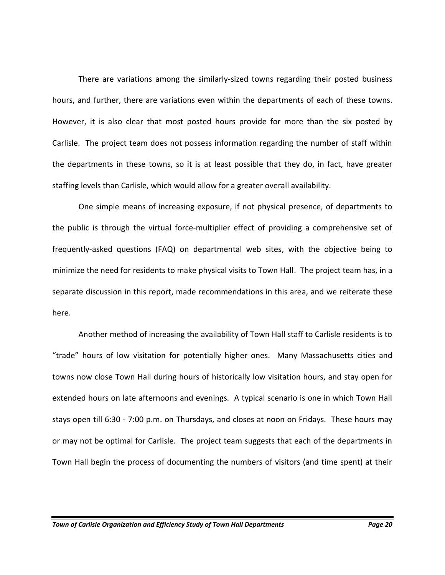There are variations among the similarly-sized towns regarding their posted business hours, and further, there are variations even within the departments of each of these towns. However, it is also clear that most posted hours provide for more than the six posted by Carlisle. The project team does not possess information regarding the number of staff within the departments in these towns, so it is at least possible that they do, in fact, have greater staffing levels than Carlisle, which would allow for a greater overall availability.

One simple means of increasing exposure, if not physical presence, of departments to the public is through the virtual force-multiplier effect of providing a comprehensive set of frequently-asked questions (FAQ) on departmental web sites, with the objective being to minimize the need for residents to make physical visits to Town Hall. The project team has, in a separate discussion in this report, made recommendations in this area, and we reiterate these here.

Another method of increasing the availability of Town Hall staff to Carlisle residents is to "trade" hours of low visitation for potentially higher ones. Many Massachusetts cities and towns now close Town Hall during hours of historically low visitation hours, and stay open for extended hours on late afternoons and evenings. A typical scenario is one in which Town Hall stays open till 6:30 - 7:00 p.m. on Thursdays, and closes at noon on Fridays. These hours may or may not be optimal for Carlisle. The project team suggests that each of the departments in Town Hall begin the process of documenting the numbers of visitors (and time spent) at their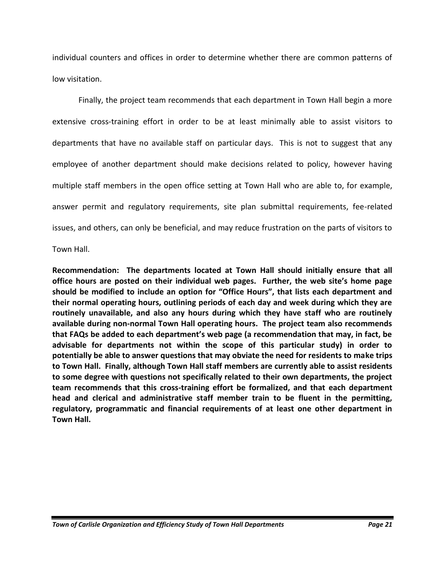individual counters and offices in order to determine whether there are common patterns of low visitation.

Finally, the project team recommends that each department in Town Hall begin a more extensive cross-training effort in order to be at least minimally able to assist visitors to departments that have no available staff on particular days. This is not to suggest that any employee of another department should make decisions related to policy, however having multiple staff members in the open office setting at Town Hall who are able to, for example, answer permit and regulatory requirements, site plan submittal requirements, fee-related issues, and others, can only be beneficial, and may reduce frustration on the parts of visitors to

Town Hall.

**Recommendation: The departments located at Town Hall should initially ensure that all office hours are posted on their individual web pages. Further, the web site's home page should be modified to include an option for "Office Hours", that lists each department and their normal operating hours, outlining periods of each day and week during which they are routinely unavailable, and also any hours during which they have staff who are routinely available during non-normal Town Hall operating hours. The project team also recommends that FAQs be added to each department's web page (a recommendation that may, in fact, be advisable for departments not within the scope of this particular study) in order to potentially be able to answer questions that may obviate the need for residents to make trips to Town Hall. Finally, although Town Hall staff members are currently able to assist residents to some degree with questions not specifically related to their own departments, the project team recommends that this cross-training effort be formalized, and that each department head and clerical and administrative staff member train to be fluent in the permitting, regulatory, programmatic and financial requirements of at least one other department in Town Hall.**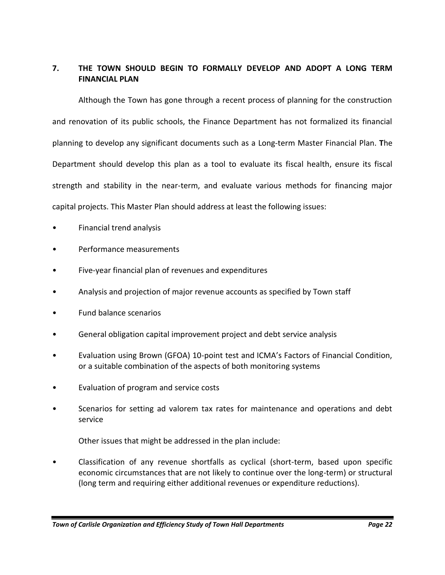#### **7. THE TOWN SHOULD BEGIN TO FORMALLY DEVELOP AND ADOPT A LONG TERM FINANCIAL PLAN**

Although the Town has gone through a recent process of planning for the construction and renovation of its public schools, the Finance Department has not formalized its financial planning to develop any significant documents such as a Long-term Master Financial Plan. **T**he Department should develop this plan as a tool to evaluate its fiscal health, ensure its fiscal strength and stability in the near-term, and evaluate various methods for financing major capital projects. This Master Plan should address at least the following issues:

- Financial trend analysis
- Performance measurements
- Five-year financial plan of revenues and expenditures
- Analysis and projection of major revenue accounts as specified by Town staff
- Fund balance scenarios
- General obligation capital improvement project and debt service analysis
- Evaluation using Brown (GFOA) 10-point test and ICMA's Factors of Financial Condition, or a suitable combination of the aspects of both monitoring systems
- Evaluation of program and service costs
- Scenarios for setting ad valorem tax rates for maintenance and operations and debt service

Other issues that might be addressed in the plan include:

• Classification of any revenue shortfalls as cyclical (short-term, based upon specific economic circumstances that are not likely to continue over the long-term) or structural (long term and requiring either additional revenues or expenditure reductions).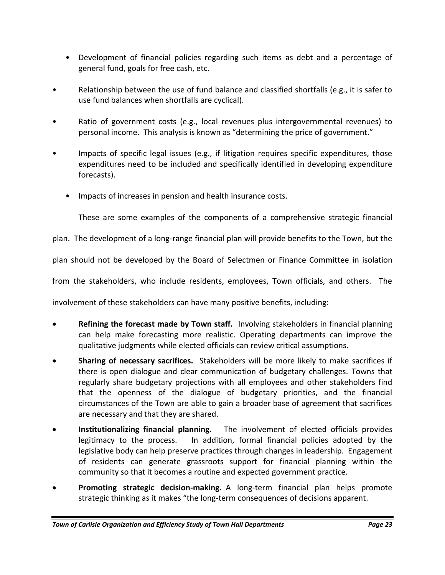- Development of financial policies regarding such items as debt and a percentage of general fund, goals for free cash, etc.
- Relationship between the use of fund balance and classified shortfalls (e.g., it is safer to use fund balances when shortfalls are cyclical).
- Ratio of government costs (e.g., local revenues plus intergovernmental revenues) to personal income. This analysis is known as "determining the price of government."
- Impacts of specific legal issues (e.g., if litigation requires specific expenditures, those expenditures need to be included and specifically identified in developing expenditure forecasts).
	- Impacts of increases in pension and health insurance costs.

These are some examples of the components of a comprehensive strategic financial

plan. The development of a long-range financial plan will provide benefits to the Town, but the

plan should not be developed by the Board of Selectmen or Finance Committee in isolation

from the stakeholders, who include residents, employees, Town officials, and others. The

involvement of these stakeholders can have many positive benefits, including:

- **Refining the forecast made by Town staff.**Involving stakeholders in financial planning can help make forecasting more realistic. Operating departments can improve the qualitative judgments while elected officials can review critical assumptions.
- **Sharing of necessary sacrifices.**Stakeholders will be more likely to make sacrifices if there is open dialogue and clear communication of budgetary challenges. Towns that regularly share budgetary projections with all employees and other stakeholders find that the openness of the dialogue of budgetary priorities, and the financial circumstances of the Town are able to gain a broader base of agreement that sacrifices are necessary and that they are shared.
- **Institutionalizing financial planning.**The involvement of elected officials provides legitimacy to the process. In addition, formal financial policies adopted by the legislative body can help preserve practices through changes in leadership. Engagement of residents can generate grassroots support for financial planning within the community so that it becomes a routine and expected government practice.
- **Promoting strategic decision-making.** A long-term financial plan helps promote strategic thinking as it makes "the long-term consequences of decisions apparent.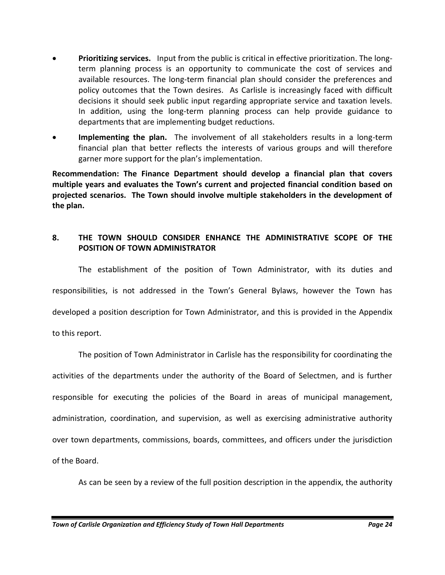- **Prioritizing services.** Input from the public is critical in effective prioritization. The longterm planning process is an opportunity to communicate the cost of services and available resources. The long-term financial plan should consider the preferences and policy outcomes that the Town desires. As Carlisle is increasingly faced with difficult decisions it should seek public input regarding appropriate service and taxation levels. In addition, using the long-term planning process can help provide guidance to departments that are implementing budget reductions.
- **Implementing the plan.** The involvement of all stakeholders results in a long-term financial plan that better reflects the interests of various groups and will therefore garner more support for the plan's implementation.

**Recommendation: The Finance Department should develop a financial plan that covers multiple years and evaluates the Town's current and projected financial condition based on projected scenarios. The Town should involve multiple stakeholders in the development of the plan.**

#### **8. THE TOWN SHOULD CONSIDER ENHANCE THE ADMINISTRATIVE SCOPE OF THE POSITION OF TOWN ADMINISTRATOR**

The establishment of the position of Town Administrator, with its duties and responsibilities, is not addressed in the Town's General Bylaws, however the Town has developed a position description for Town Administrator, and this is provided in the Appendix to this report.

The position of Town Administrator in Carlisle has the responsibility for coordinating the

activities of the departments under the authority of the Board of Selectmen, and is further

responsible for executing the policies of the Board in areas of municipal management,

administration, coordination, and supervision, as well as exercising administrative authority

over town departments, commissions, boards, committees, and officers under the jurisdiction

of the Board.

As can be seen by a review of the full position description in the appendix, the authority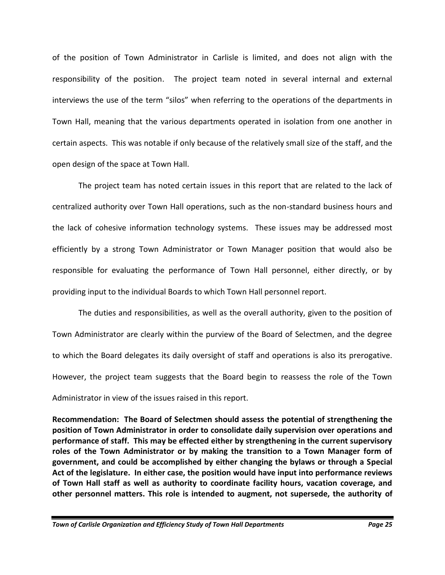of the position of Town Administrator in Carlisle is limited, and does not align with the responsibility of the position. The project team noted in several internal and external interviews the use of the term "silos" when referring to the operations of the departments in Town Hall, meaning that the various departments operated in isolation from one another in certain aspects. This was notable if only because of the relatively small size of the staff, and the open design of the space at Town Hall.

The project team has noted certain issues in this report that are related to the lack of centralized authority over Town Hall operations, such as the non-standard business hours and the lack of cohesive information technology systems. These issues may be addressed most efficiently by a strong Town Administrator or Town Manager position that would also be responsible for evaluating the performance of Town Hall personnel, either directly, or by providing input to the individual Boards to which Town Hall personnel report.

The duties and responsibilities, as well as the overall authority, given to the position of Town Administrator are clearly within the purview of the Board of Selectmen, and the degree to which the Board delegates its daily oversight of staff and operations is also its prerogative. However, the project team suggests that the Board begin to reassess the role of the Town Administrator in view of the issues raised in this report.

**Recommendation: The Board of Selectmen should assess the potential of strengthening the position of Town Administrator in order to consolidate daily supervision over operations and performance of staff. This may be effected either by strengthening in the current supervisory roles of the Town Administrator or by making the transition to a Town Manager form of government, and could be accomplished by either changing the bylaws or through a Special Act of the legislature. In either case, the position would have input into performance reviews of Town Hall staff as well as authority to coordinate facility hours, vacation coverage, and other personnel matters. This role is intended to augment, not supersede, the authority of**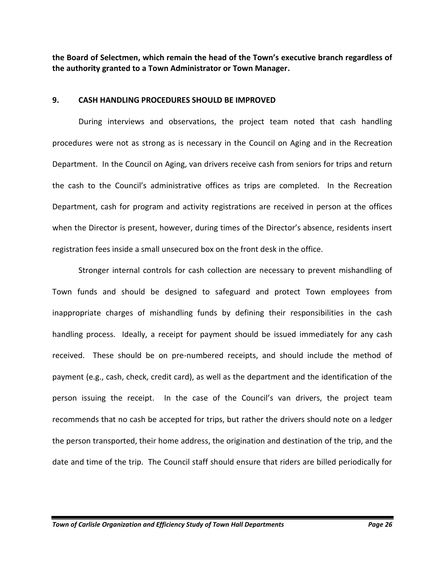**the Board of Selectmen, which remain the head of the Town's executive branch regardless of the authority granted to a Town Administrator or Town Manager.**

#### **9. CASH HANDLING PROCEDURES SHOULD BE IMPROVED**

During interviews and observations, the project team noted that cash handling procedures were not as strong as is necessary in the Council on Aging and in the Recreation Department. In the Council on Aging, van drivers receive cash from seniors for trips and return the cash to the Council's administrative offices as trips are completed. In the Recreation Department, cash for program and activity registrations are received in person at the offices when the Director is present, however, during times of the Director's absence, residents insert registration fees inside a small unsecured box on the front desk in the office.

Stronger internal controls for cash collection are necessary to prevent mishandling of Town funds and should be designed to safeguard and protect Town employees from inappropriate charges of mishandling funds by defining their responsibilities in the cash handling process. Ideally, a receipt for payment should be issued immediately for any cash received. These should be on pre-numbered receipts, and should include the method of payment (e.g., cash, check, credit card), as well as the department and the identification of the person issuing the receipt. In the case of the Council's van drivers, the project team recommends that no cash be accepted for trips, but rather the drivers should note on a ledger the person transported, their home address, the origination and destination of the trip, and the date and time of the trip. The Council staff should ensure that riders are billed periodically for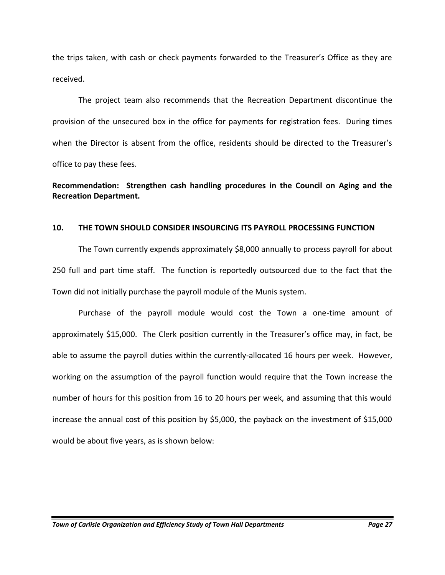the trips taken, with cash or check payments forwarded to the Treasurer's Office as they are received.

The project team also recommends that the Recreation Department discontinue the provision of the unsecured box in the office for payments for registration fees. During times when the Director is absent from the office, residents should be directed to the Treasurer's office to pay these fees.

#### **Recommendation: Strengthen cash handling procedures in the Council on Aging and the Recreation Department.**

#### **10. THE TOWN SHOULD CONSIDER INSOURCING ITS PAYROLL PROCESSING FUNCTION**

The Town currently expends approximately \$8,000 annually to process payroll for about 250 full and part time staff. The function is reportedly outsourced due to the fact that the Town did not initially purchase the payroll module of the Munis system.

Purchase of the payroll module would cost the Town a one-time amount of approximately \$15,000. The Clerk position currently in the Treasurer's office may, in fact, be able to assume the payroll duties within the currently-allocated 16 hours per week. However, working on the assumption of the payroll function would require that the Town increase the number of hours for this position from 16 to 20 hours per week, and assuming that this would increase the annual cost of this position by \$5,000, the payback on the investment of \$15,000 would be about five years, as is shown below: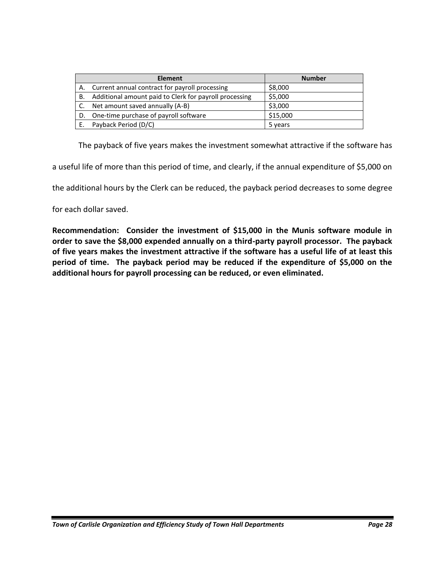|    | <b>Element</b>                                         | <b>Number</b> |
|----|--------------------------------------------------------|---------------|
| А. | Current annual contract for payroll processing         | \$8,000       |
| В. | Additional amount paid to Clerk for payroll processing | \$5,000       |
|    | Net amount saved annually (A-B)                        | \$3,000       |
| D. | One-time purchase of payroll software                  | \$15,000      |
|    | Payback Period (D/C)                                   | 5 years       |

The payback of five years makes the investment somewhat attractive if the software has

a useful life of more than this period of time, and clearly, if the annual expenditure of \$5,000 on

the additional hours by the Clerk can be reduced, the payback period decreases to some degree

for each dollar saved.

**Recommendation: Consider the investment of \$15,000 in the Munis software module in order to save the \$8,000 expended annually on a third-party payroll processor. The payback of five years makes the investment attractive if the software has a useful life of at least this period of time. The payback period may be reduced if the expenditure of \$5,000 on the additional hours for payroll processing can be reduced, or even eliminated.**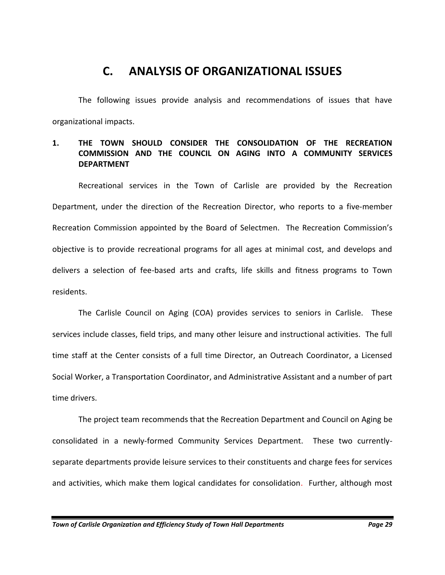### **C. ANALYSIS OF ORGANIZATIONAL ISSUES**

The following issues provide analysis and recommendations of issues that have organizational impacts.

#### **1. THE TOWN SHOULD CONSIDER THE CONSOLIDATION OF THE RECREATION COMMISSION AND THE COUNCIL ON AGING INTO A COMMUNITY SERVICES DEPARTMENT**

Recreational services in the Town of Carlisle are provided by the Recreation Department, under the direction of the Recreation Director, who reports to a five-member Recreation Commission appointed by the Board of Selectmen. The Recreation Commission's objective is to provide recreational programs for all ages at minimal cost, and develops and delivers a selection of fee-based arts and crafts, life skills and fitness programs to Town residents.

The Carlisle Council on Aging (COA) provides services to seniors in Carlisle. These services include classes, field trips, and many other leisure and instructional activities. The full time staff at the Center consists of a full time Director, an Outreach Coordinator, a Licensed Social Worker, a Transportation Coordinator, and Administrative Assistant and a number of part time drivers.

The project team recommends that the Recreation Department and Council on Aging be consolidated in a newly-formed Community Services Department. These two currentlyseparate departments provide leisure services to their constituents and charge fees for services and activities, which make them logical candidates for consolidation. Further, although most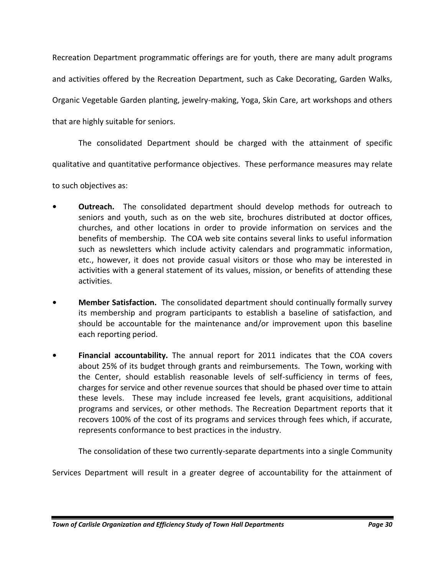Recreation Department programmatic offerings are for youth, there are many adult programs

and activities offered by the Recreation Department, such as Cake Decorating, Garden Walks,

Organic Vegetable Garden planting, jewelry-making, Yoga, Skin Care, art workshops and others

that are highly suitable for seniors.

The consolidated Department should be charged with the attainment of specific

qualitative and quantitative performance objectives. These performance measures may relate

to such objectives as:

- **• Outreach.** The consolidated department should develop methods for outreach to seniors and youth, such as on the web site, brochures distributed at doctor offices, churches, and other locations in order to provide information on services and the benefits of membership. The COA web site contains several links to useful information such as newsletters which include activity calendars and programmatic information, etc., however, it does not provide casual visitors or those who may be interested in activities with a general statement of its values, mission, or benefits of attending these activities.
- **• Member Satisfaction.** The consolidated department should continually formally survey its membership and program participants to establish a baseline of satisfaction, and should be accountable for the maintenance and/or improvement upon this baseline each reporting period.
- **• Financial accountability.** The annual report for 2011 indicates that the COA covers about 25% of its budget through grants and reimbursements. The Town, working with the Center, should establish reasonable levels of self-sufficiency in terms of fees, charges for service and other revenue sources that should be phased over time to attain these levels. These may include increased fee levels, grant acquisitions, additional programs and services, or other methods. The Recreation Department reports that it recovers 100% of the cost of its programs and services through fees which, if accurate, represents conformance to best practices in the industry.

The consolidation of these two currently-separate departments into a single Community

Services Department will result in a greater degree of accountability for the attainment of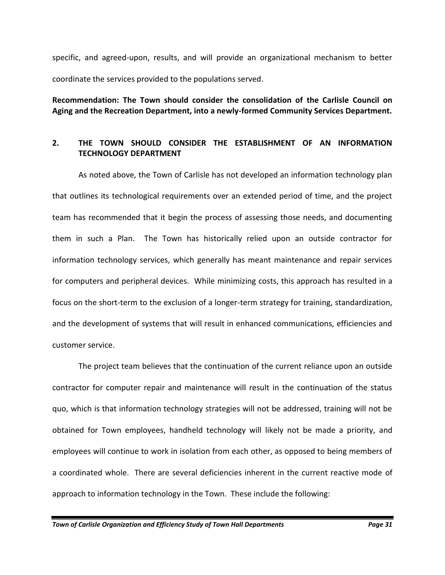specific, and agreed-upon, results, and will provide an organizational mechanism to better coordinate the services provided to the populations served.

**Recommendation: The Town should consider the consolidation of the Carlisle Council on Aging and the Recreation Department, into a newly-formed Community Services Department.**

#### **2. THE TOWN SHOULD CONSIDER THE ESTABLISHMENT OF AN INFORMATION TECHNOLOGY DEPARTMENT**

As noted above, the Town of Carlisle has not developed an information technology plan that outlines its technological requirements over an extended period of time, and the project team has recommended that it begin the process of assessing those needs, and documenting them in such a Plan. The Town has historically relied upon an outside contractor for information technology services, which generally has meant maintenance and repair services for computers and peripheral devices. While minimizing costs, this approach has resulted in a focus on the short-term to the exclusion of a longer-term strategy for training, standardization, and the development of systems that will result in enhanced communications, efficiencies and customer service.

The project team believes that the continuation of the current reliance upon an outside contractor for computer repair and maintenance will result in the continuation of the status quo, which is that information technology strategies will not be addressed, training will not be obtained for Town employees, handheld technology will likely not be made a priority, and employees will continue to work in isolation from each other, as opposed to being members of a coordinated whole. There are several deficiencies inherent in the current reactive mode of approach to information technology in the Town. These include the following: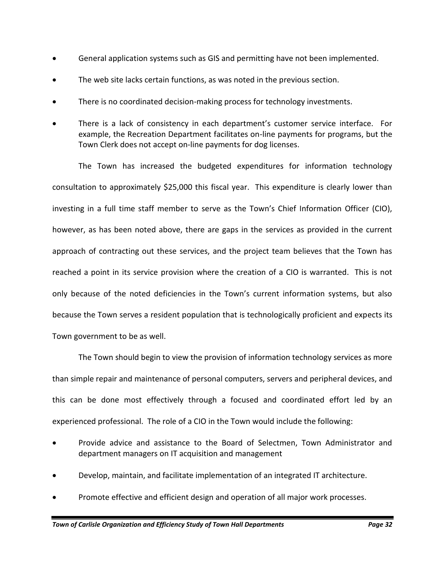- General application systems such as GIS and permitting have not been implemented.
- The web site lacks certain functions, as was noted in the previous section.
- There is no coordinated decision-making process for technology investments.
- There is a lack of consistency in each department's customer service interface. For example, the Recreation Department facilitates on-line payments for programs, but the Town Clerk does not accept on-line payments for dog licenses.

The Town has increased the budgeted expenditures for information technology consultation to approximately \$25,000 this fiscal year. This expenditure is clearly lower than investing in a full time staff member to serve as the Town's Chief Information Officer (CIO), however, as has been noted above, there are gaps in the services as provided in the current approach of contracting out these services, and the project team believes that the Town has reached a point in its service provision where the creation of a CIO is warranted. This is not only because of the noted deficiencies in the Town's current information systems, but also because the Town serves a resident population that is technologically proficient and expects its Town government to be as well.

The Town should begin to view the provision of information technology services as more than simple repair and maintenance of personal computers, servers and peripheral devices, and this can be done most effectively through a focused and coordinated effort led by an experienced professional. The role of a CIO in the Town would include the following:

- Provide advice and assistance to the Board of Selectmen, Town Administrator and department managers on IT acquisition and management
- Develop, maintain, and facilitate implementation of an integrated IT architecture.
- Promote effective and efficient design and operation of all major work processes.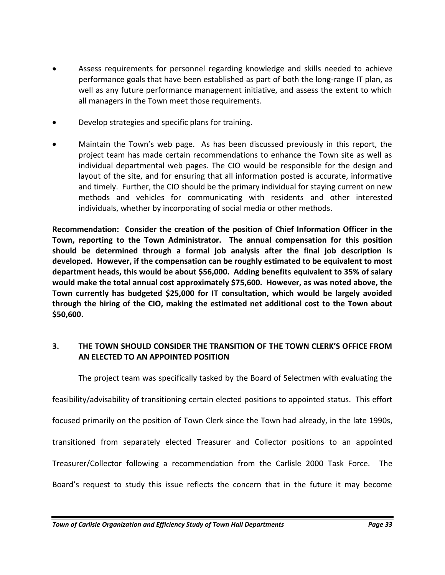- Assess requirements for personnel regarding knowledge and skills needed to achieve performance goals that have been established as part of both the long-range IT plan, as well as any future performance management initiative, and assess the extent to which all managers in the Town meet those requirements.
- Develop strategies and specific plans for training.
- Maintain the Town's web page. As has been discussed previously in this report, the project team has made certain recommendations to enhance the Town site as well as individual departmental web pages. The CIO would be responsible for the design and layout of the site, and for ensuring that all information posted is accurate, informative and timely. Further, the CIO should be the primary individual for staying current on new methods and vehicles for communicating with residents and other interested individuals, whether by incorporating of social media or other methods.

**Recommendation: Consider the creation of the position of Chief Information Officer in the Town, reporting to the Town Administrator. The annual compensation for this position should be determined through a formal job analysis after the final job description is developed. However, if the compensation can be roughly estimated to be equivalent to most department heads, this would be about \$56,000. Adding benefits equivalent to 35% of salary would make the total annual cost approximately \$75,600. However, as was noted above, the Town currently has budgeted \$25,000 for IT consultation, which would be largely avoided through the hiring of the CIO, making the estimated net additional cost to the Town about \$50,600.**

#### **3. THE TOWN SHOULD CONSIDER THE TRANSITION OF THE TOWN CLERK'S OFFICE FROM AN ELECTED TO AN APPOINTED POSITION**

The project team was specifically tasked by the Board of Selectmen with evaluating the

feasibility/advisability of transitioning certain elected positions to appointed status. This effort

focused primarily on the position of Town Clerk since the Town had already, in the late 1990s,

transitioned from separately elected Treasurer and Collector positions to an appointed

Treasurer/Collector following a recommendation from the Carlisle 2000 Task Force. The

Board's request to study this issue reflects the concern that in the future it may become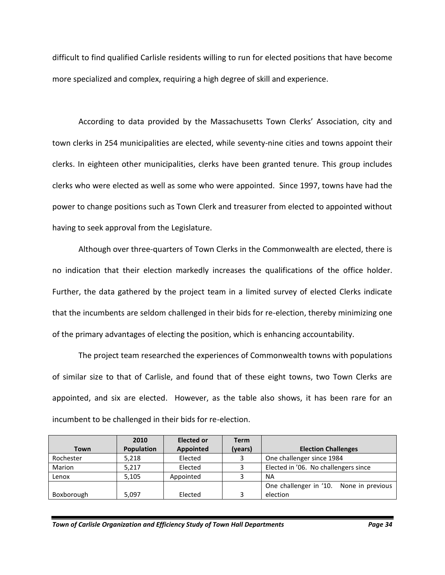difficult to find qualified Carlisle residents willing to run for elected positions that have become more specialized and complex, requiring a high degree of skill and experience.

According to data provided by the Massachusetts Town Clerks' Association, city and town clerks in 254 municipalities are elected, while seventy-nine cities and towns appoint their clerks. In eighteen other municipalities, clerks have been granted tenure. This group includes clerks who were elected as well as some who were appointed. Since 1997, towns have had the power to change positions such as Town Clerk and treasurer from elected to appointed without having to seek approval from the Legislature.

Although over three-quarters of Town Clerks in the Commonwealth are elected, there is no indication that their election markedly increases the qualifications of the office holder. Further, the data gathered by the project team in a limited survey of elected Clerks indicate that the incumbents are seldom challenged in their bids for re-election, thereby minimizing one of the primary advantages of electing the position, which is enhancing accountability.

The project team researched the experiences of Commonwealth towns with populations of similar size to that of Carlisle, and found that of these eight towns, two Town Clerks are appointed, and six are elected. However, as the table also shows, it has been rare for an incumbent to be challenged in their bids for re-election.

|            | 2010              | <b>Elected or</b> | Term    |                                            |
|------------|-------------------|-------------------|---------|--------------------------------------------|
| Town       | <b>Population</b> | <b>Appointed</b>  | (years) | <b>Election Challenges</b>                 |
| Rochester  | 5,218             | Elected           |         | One challenger since 1984                  |
| Marion     | 5.217             | Elected           |         | Elected in '06. No challengers since       |
| Lenox      | 5.105             | Appointed         |         | <b>NA</b>                                  |
|            |                   |                   |         | One challenger in '10.<br>None in previous |
| Boxborough | 5,097             | Elected           | ς       | election                                   |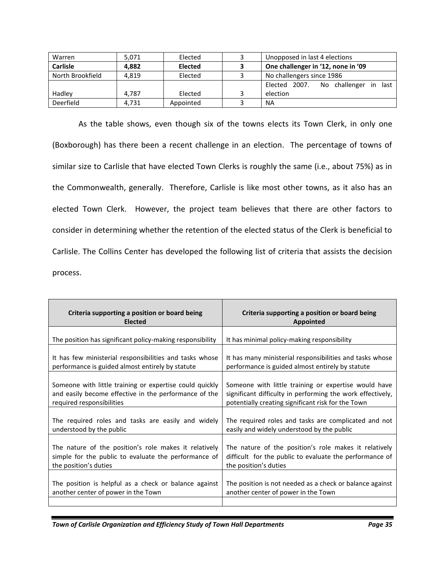| Warren           | 5.071 | Elected        | Unopposed in last 4 elections             |
|------------------|-------|----------------|-------------------------------------------|
| <b>Carlisle</b>  | 4.882 | <b>Elected</b> | One challenger in '12, none in '09        |
| North Brookfield | 4.819 | Elected        | No challengers since 1986                 |
|                  |       |                | No challenger<br>Elected 2007.<br>in last |
| Hadley           | 4.787 | Elected        | election                                  |
| Deerfield        | 4,731 | Appointed      | <b>NA</b>                                 |

As the table shows, even though six of the towns elects its Town Clerk, in only one (Boxborough) has there been a recent challenge in an election. The percentage of towns of similar size to Carlisle that have elected Town Clerks is roughly the same (i.e., about 75%) as in the Commonwealth, generally. Therefore, Carlisle is like most other towns, as it also has an elected Town Clerk. However, the project team believes that there are other factors to consider in determining whether the retention of the elected status of the Clerk is beneficial to Carlisle. The Collins Center has developed the following list of criteria that assists the decision process.

| Criteria supporting a position or board being<br><b>Elected</b>                                                                               | Criteria supporting a position or board being<br><b>Appointed</b>                                                                                                        |
|-----------------------------------------------------------------------------------------------------------------------------------------------|--------------------------------------------------------------------------------------------------------------------------------------------------------------------------|
| The position has significant policy-making responsibility                                                                                     | It has minimal policy-making responsibility                                                                                                                              |
| It has few ministerial responsibilities and tasks whose<br>performance is guided almost entirely by statute                                   | It has many ministerial responsibilities and tasks whose<br>performance is guided almost entirely by statute                                                             |
| Someone with little training or expertise could quickly<br>and easily become effective in the performance of the<br>required responsibilities | Someone with little training or expertise would have<br>significant difficulty in performing the work effectively,<br>potentially creating significant risk for the Town |
| The required roles and tasks are easily and widely<br>understood by the public                                                                | The required roles and tasks are complicated and not<br>easily and widely understood by the public                                                                       |
| The nature of the position's role makes it relatively<br>simple for the public to evaluate the performance of<br>the position's duties        | The nature of the position's role makes it relatively<br>difficult for the public to evaluate the performance of<br>the position's duties                                |
| The position is helpful as a check or balance against<br>another center of power in the Town                                                  | The position is not needed as a check or balance against<br>another center of power in the Town                                                                          |
|                                                                                                                                               |                                                                                                                                                                          |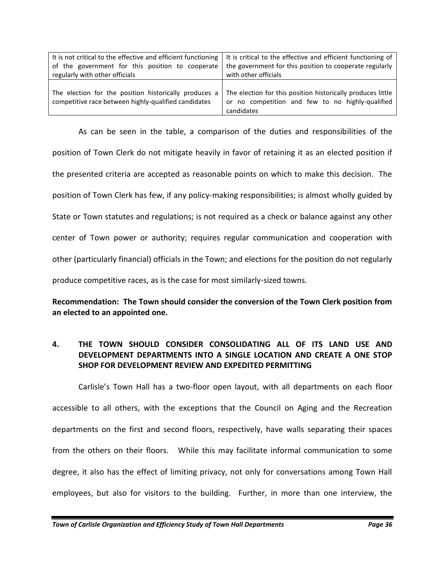| It is not critical to the effective and efficient functioning                                                 | It is critical to the effective and efficient functioning of                                                                  |
|---------------------------------------------------------------------------------------------------------------|-------------------------------------------------------------------------------------------------------------------------------|
| of the government for this position to cooperate                                                              | the government for this position to cooperate regularly                                                                       |
| regularly with other officials                                                                                | with other officials                                                                                                          |
| The election for the position historically produces a<br>competitive race between highly-qualified candidates | The election for this position historically produces little<br>or no competition and few to no highly-qualified<br>candidates |

As can be seen in the table, a comparison of the duties and responsibilities of the position of Town Clerk do not mitigate heavily in favor of retaining it as an elected position if the presented criteria are accepted as reasonable points on which to make this decision. The position of Town Clerk has few, if any policy-making responsibilities; is almost wholly guided by State or Town statutes and regulations; is not required as a check or balance against any other center of Town power or authority; requires regular communication and cooperation with other (particularly financial) officials in the Town; and elections for the position do not regularly produce competitive races, as is the case for most similarly-sized towns.

**Recommendation: The Town should consider the conversion of the Town Clerk position from an elected to an appointed one.**

#### **4. THE TOWN SHOULD CONSIDER CONSOLIDATING ALL OF ITS LAND USE AND DEVELOPMENT DEPARTMENTS INTO A SINGLE LOCATION AND CREATE A ONE STOP SHOP FOR DEVELOPMENT REVIEW AND EXPEDITED PERMITTING**

Carlisle's Town Hall has a two-floor open layout, with all departments on each floor accessible to all others, with the exceptions that the Council on Aging and the Recreation departments on the first and second floors, respectively, have walls separating their spaces from the others on their floors. While this may facilitate informal communication to some degree, it also has the effect of limiting privacy, not only for conversations among Town Hall employees, but also for visitors to the building. Further, in more than one interview, the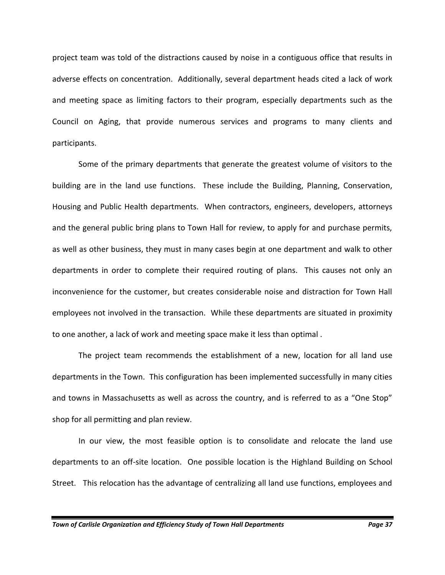project team was told of the distractions caused by noise in a contiguous office that results in adverse effects on concentration. Additionally, several department heads cited a lack of work and meeting space as limiting factors to their program, especially departments such as the Council on Aging, that provide numerous services and programs to many clients and participants.

Some of the primary departments that generate the greatest volume of visitors to the building are in the land use functions. These include the Building, Planning, Conservation, Housing and Public Health departments. When contractors, engineers, developers, attorneys and the general public bring plans to Town Hall for review, to apply for and purchase permits, as well as other business, they must in many cases begin at one department and walk to other departments in order to complete their required routing of plans. This causes not only an inconvenience for the customer, but creates considerable noise and distraction for Town Hall employees not involved in the transaction. While these departments are situated in proximity to one another, a lack of work and meeting space make it less than optimal .

The project team recommends the establishment of a new, location for all land use departments in the Town. This configuration has been implemented successfully in many cities and towns in Massachusetts as well as across the country, and is referred to as a "One Stop" shop for all permitting and plan review.

In our view, the most feasible option is to consolidate and relocate the land use departments to an off-site location. One possible location is the Highland Building on School Street. This relocation has the advantage of centralizing all land use functions, employees and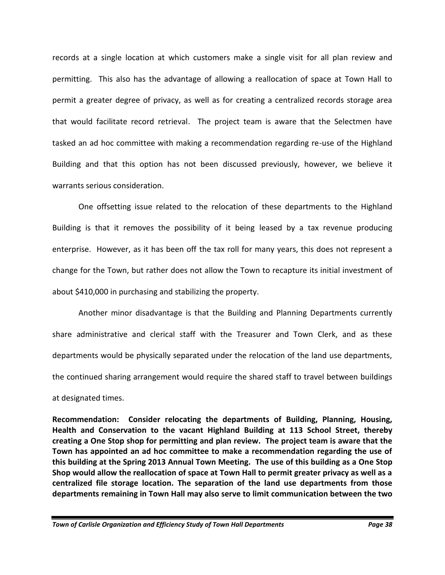records at a single location at which customers make a single visit for all plan review and permitting. This also has the advantage of allowing a reallocation of space at Town Hall to permit a greater degree of privacy, as well as for creating a centralized records storage area that would facilitate record retrieval. The project team is aware that the Selectmen have tasked an ad hoc committee with making a recommendation regarding re-use of the Highland Building and that this option has not been discussed previously, however, we believe it warrants serious consideration.

One offsetting issue related to the relocation of these departments to the Highland Building is that it removes the possibility of it being leased by a tax revenue producing enterprise. However, as it has been off the tax roll for many years, this does not represent a change for the Town, but rather does not allow the Town to recapture its initial investment of about \$410,000 in purchasing and stabilizing the property.

Another minor disadvantage is that the Building and Planning Departments currently share administrative and clerical staff with the Treasurer and Town Clerk, and as these departments would be physically separated under the relocation of the land use departments, the continued sharing arrangement would require the shared staff to travel between buildings at designated times.

**Recommendation: Consider relocating the departments of Building, Planning, Housing, Health and Conservation to the vacant Highland Building at 113 School Street, thereby creating a One Stop shop for permitting and plan review. The project team is aware that the Town has appointed an ad hoc committee to make a recommendation regarding the use of this building at the Spring 2013 Annual Town Meeting. The use of this building as a One Stop Shop would allow the reallocation of space at Town Hall to permit greater privacy as well as a centralized file storage location. The separation of the land use departments from those departments remaining in Town Hall may also serve to limit communication between the two**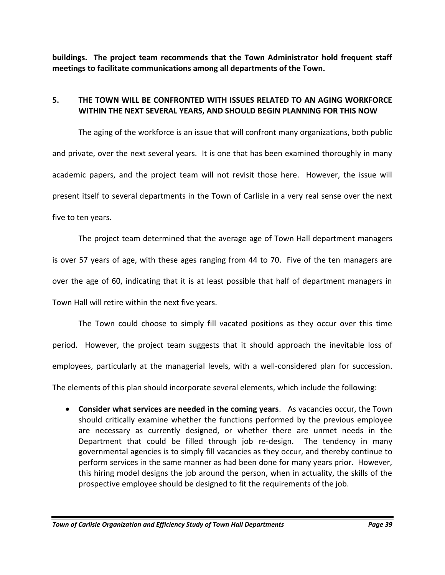**buildings. The project team recommends that the Town Administrator hold frequent staff meetings to facilitate communications among all departments of the Town.**

#### **5. THE TOWN WILL BE CONFRONTED WITH ISSUES RELATED TO AN AGING WORKFORCE WITHIN THE NEXT SEVERAL YEARS, AND SHOULD BEGIN PLANNING FOR THIS NOW**

The aging of the workforce is an issue that will confront many organizations, both public and private, over the next several years. It is one that has been examined thoroughly in many academic papers, and the project team will not revisit those here. However, the issue will present itself to several departments in the Town of Carlisle in a very real sense over the next five to ten years.

The project team determined that the average age of Town Hall department managers is over 57 years of age, with these ages ranging from 44 to 70. Five of the ten managers are over the age of 60, indicating that it is at least possible that half of department managers in Town Hall will retire within the next five years.

The Town could choose to simply fill vacated positions as they occur over this time period. However, the project team suggests that it should approach the inevitable loss of employees, particularly at the managerial levels, with a well-considered plan for succession.

The elements of this plan should incorporate several elements, which include the following:

 **Consider what services are needed in the coming years**. As vacancies occur, the Town should critically examine whether the functions performed by the previous employee are necessary as currently designed, or whether there are unmet needs in the Department that could be filled through job re-design. The tendency in many governmental agencies is to simply fill vacancies as they occur, and thereby continue to perform services in the same manner as had been done for many years prior. However, this hiring model designs the job around the person, when in actuality, the skills of the prospective employee should be designed to fit the requirements of the job.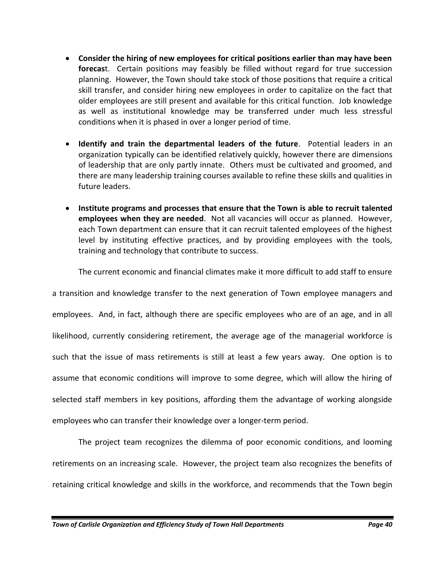- **Consider the hiring of new employees for critical positions earlier than may have been forecas**t. Certain positions may feasibly be filled without regard for true succession planning. However, the Town should take stock of those positions that require a critical skill transfer, and consider hiring new employees in order to capitalize on the fact that older employees are still present and available for this critical function. Job knowledge as well as institutional knowledge may be transferred under much less stressful conditions when it is phased in over a longer period of time.
- **Identify and train the departmental leaders of the future**. Potential leaders in an organization typically can be identified relatively quickly, however there are dimensions of leadership that are only partly innate. Others must be cultivated and groomed, and there are many leadership training courses available to refine these skills and qualities in future leaders.
- **Institute programs and processes that ensure that the Town is able to recruit talented employees when they are needed**. Not all vacancies will occur as planned. However, each Town department can ensure that it can recruit talented employees of the highest level by instituting effective practices, and by providing employees with the tools, training and technology that contribute to success.

The current economic and financial climates make it more difficult to add staff to ensure

a transition and knowledge transfer to the next generation of Town employee managers and employees. And, in fact, although there are specific employees who are of an age, and in all likelihood, currently considering retirement, the average age of the managerial workforce is such that the issue of mass retirements is still at least a few years away. One option is to assume that economic conditions will improve to some degree, which will allow the hiring of selected staff members in key positions, affording them the advantage of working alongside employees who can transfer their knowledge over a longer-term period.

The project team recognizes the dilemma of poor economic conditions, and looming retirements on an increasing scale. However, the project team also recognizes the benefits of retaining critical knowledge and skills in the workforce, and recommends that the Town begin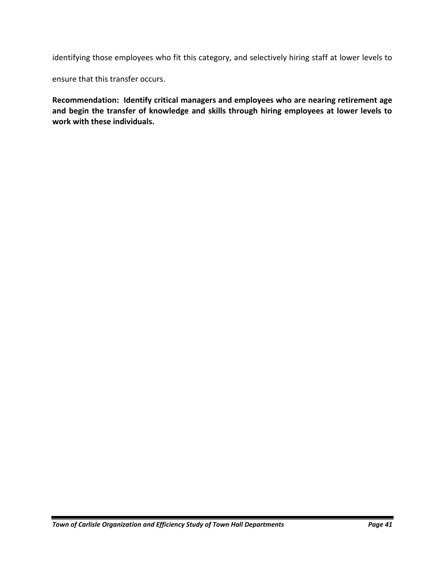identifying those employees who fit this category, and selectively hiring staff at lower levels to

ensure that this transfer occurs.

**Recommendation: Identify critical managers and employees who are nearing retirement age and begin the transfer of knowledge and skills through hiring employees at lower levels to work with these individuals.**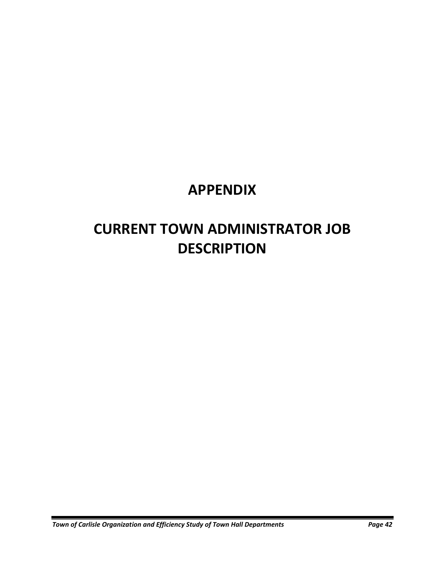## **APPENDIX**

## **CURRENT TOWN ADMINISTRATOR JOB DESCRIPTION**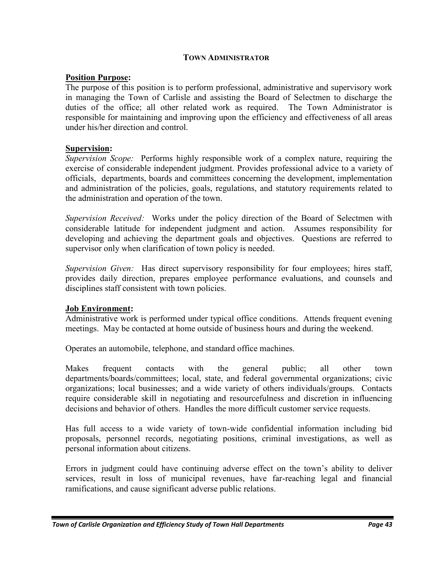#### **TOWN ADMINISTRATOR**

#### **Position Purpose:**

The purpose of this position is to perform professional, administrative and supervisory work in managing the Town of Carlisle and assisting the Board of Selectmen to discharge the duties of the office; all other related work as required. The Town Administrator is responsible for maintaining and improving upon the efficiency and effectiveness of all areas under his/her direction and control.

#### **Supervision:**

*Supervision Scope:* Performs highly responsible work of a complex nature, requiring the exercise of considerable independent judgment. Provides professional advice to a variety of officials, departments, boards and committees concerning the development, implementation and administration of the policies, goals, regulations, and statutory requirements related to the administration and operation of the town.

*Supervision Received:* Works under the policy direction of the Board of Selectmen with considerable latitude for independent judgment and action. Assumes responsibility for developing and achieving the department goals and objectives. Questions are referred to supervisor only when clarification of town policy is needed.

*Supervision Given:* Has direct supervisory responsibility for four employees; hires staff, provides daily direction, prepares employee performance evaluations, and counsels and disciplines staff consistent with town policies.

#### **Job Environment:**

Administrative work is performed under typical office conditions. Attends frequent evening meetings. May be contacted at home outside of business hours and during the weekend.

Operates an automobile, telephone, and standard office machines.

Makes frequent contacts with the general public; all other town departments/boards/committees; local, state, and federal governmental organizations; civic organizations; local businesses; and a wide variety of others individuals/groups. Contacts require considerable skill in negotiating and resourcefulness and discretion in influencing decisions and behavior of others. Handles the more difficult customer service requests.

Has full access to a wide variety of town-wide confidential information including bid proposals, personnel records, negotiating positions, criminal investigations, as well as personal information about citizens.

Errors in judgment could have continuing adverse effect on the town's ability to deliver services, result in loss of municipal revenues, have far-reaching legal and financial ramifications, and cause significant adverse public relations.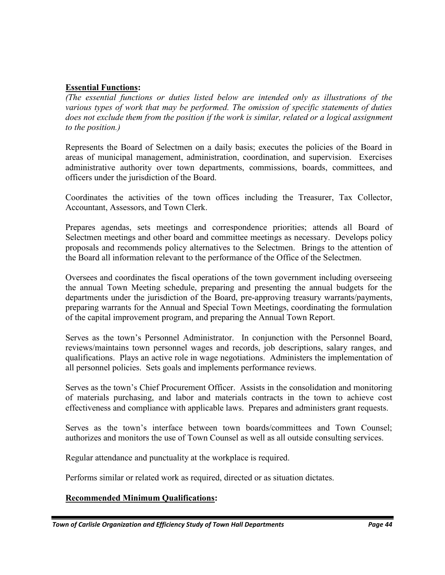#### **Essential Functions:**

*(The essential functions or duties listed below are intended only as illustrations of the various types of work that may be performed. The omission of specific statements of duties*  does not exclude them from the position if the work is similar, related or a logical assignment *to the position.)*

Represents the Board of Selectmen on a daily basis; executes the policies of the Board in areas of municipal management, administration, coordination, and supervision. Exercises administrative authority over town departments, commissions, boards, committees, and officers under the jurisdiction of the Board.

Coordinates the activities of the town offices including the Treasurer, Tax Collector, Accountant, Assessors, and Town Clerk.

Prepares agendas, sets meetings and correspondence priorities; attends all Board of Selectmen meetings and other board and committee meetings as necessary. Develops policy proposals and recommends policy alternatives to the Selectmen. Brings to the attention of the Board all information relevant to the performance of the Office of the Selectmen.

Oversees and coordinates the fiscal operations of the town government including overseeing the annual Town Meeting schedule, preparing and presenting the annual budgets for the departments under the jurisdiction of the Board, pre-approving treasury warrants/payments, preparing warrants for the Annual and Special Town Meetings, coordinating the formulation of the capital improvement program, and preparing the Annual Town Report.

Serves as the town's Personnel Administrator. In conjunction with the Personnel Board, reviews/maintains town personnel wages and records, job descriptions, salary ranges, and qualifications. Plays an active role in wage negotiations. Administers the implementation of all personnel policies. Sets goals and implements performance reviews.

Serves as the town's Chief Procurement Officer. Assists in the consolidation and monitoring of materials purchasing, and labor and materials contracts in the town to achieve cost effectiveness and compliance with applicable laws. Prepares and administers grant requests.

Serves as the town's interface between town boards/committees and Town Counsel; authorizes and monitors the use of Town Counsel as well as all outside consulting services.

Regular attendance and punctuality at the workplace is required.

Performs similar or related work as required, directed or as situation dictates.

#### **Recommended Minimum Qualifications:**